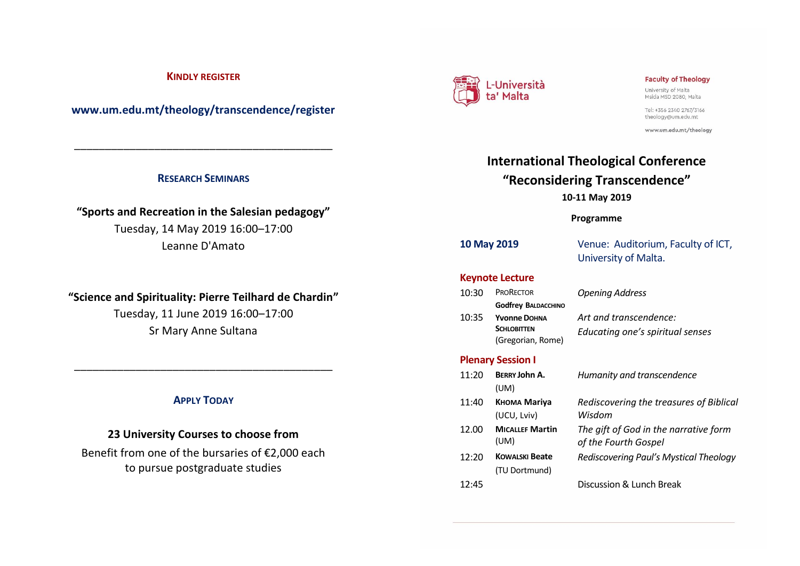### **KINDLY REGISTER**

**www.um.edu.mt/theology/transcendence/register**

### **RESEARCH SEMINARS**

\_\_\_\_\_\_\_\_\_\_\_\_\_\_\_\_\_\_\_\_\_\_\_\_\_\_\_\_\_\_\_\_\_\_\_\_\_\_\_\_\_\_

# **"Sports and Recreation in the Salesian pedagogy"** Tuesday, 14 May 2019 16:00–17:00 Leanne D'Amato

## **"Science and Spirituality: Pierre Teilhard de Chardin"**

Tuesday, 11 June 2019 16:00–17:00 Sr Mary Anne Sultana

### **APPLY TODAY**

\_\_\_\_\_\_\_\_\_\_\_\_\_\_\_\_\_\_\_\_\_\_\_\_\_\_\_\_\_\_\_\_\_\_\_\_\_\_\_\_\_\_

### **23 University Courses to choose from**

Benefit from one of the bursaries of €2,000 each to pursue postgraduate studies



### **Faculty of Theology**

University of Malta Msida MSD 2080, Malta

Tel: +356 2340 2767/3166 theology@um.edu.mt

www.um.edu.mt/theology

# **International Theological Conference "Reconsidering Transcendence" 10-11 May 2019**

### **Programme**

**10 May 2019** Venue: Auditorium, Faculty of ICT, University of Malta.

### **Keynote Lecture**

| 10:30 | <b>PRORECTOR</b>           | <b>Opening Address</b>           |
|-------|----------------------------|----------------------------------|
|       | <b>Godfrey BALDACCHINO</b> |                                  |
| 10:35 | Yvonne DOHNA               | Art and transcendence:           |
|       | <b>SCHLOBITTEN</b>         | Educating one's spiritual senses |
|       | (Gregorian, Rome)          |                                  |

### **Plenary Session I**

| 11:20 | <b>BERRY John A.</b><br>(UM)           | Humanity and transcendence                                    |
|-------|----------------------------------------|---------------------------------------------------------------|
| 11:40 | Кнома Mariya<br>(UCU, Lviv)            | Rediscovering the treasures of Biblical<br>Wisdom             |
| 12.00 | <b>MICALLEF Martin</b><br>(UM)         | The gift of God in the narrative form<br>of the Fourth Gospel |
| 12:20 | <b>KOWALSKI Beate</b><br>(TU Dortmund) | Rediscovering Paul's Mystical Theology                        |
| 12:45 |                                        | Discussion & Lunch Break                                      |